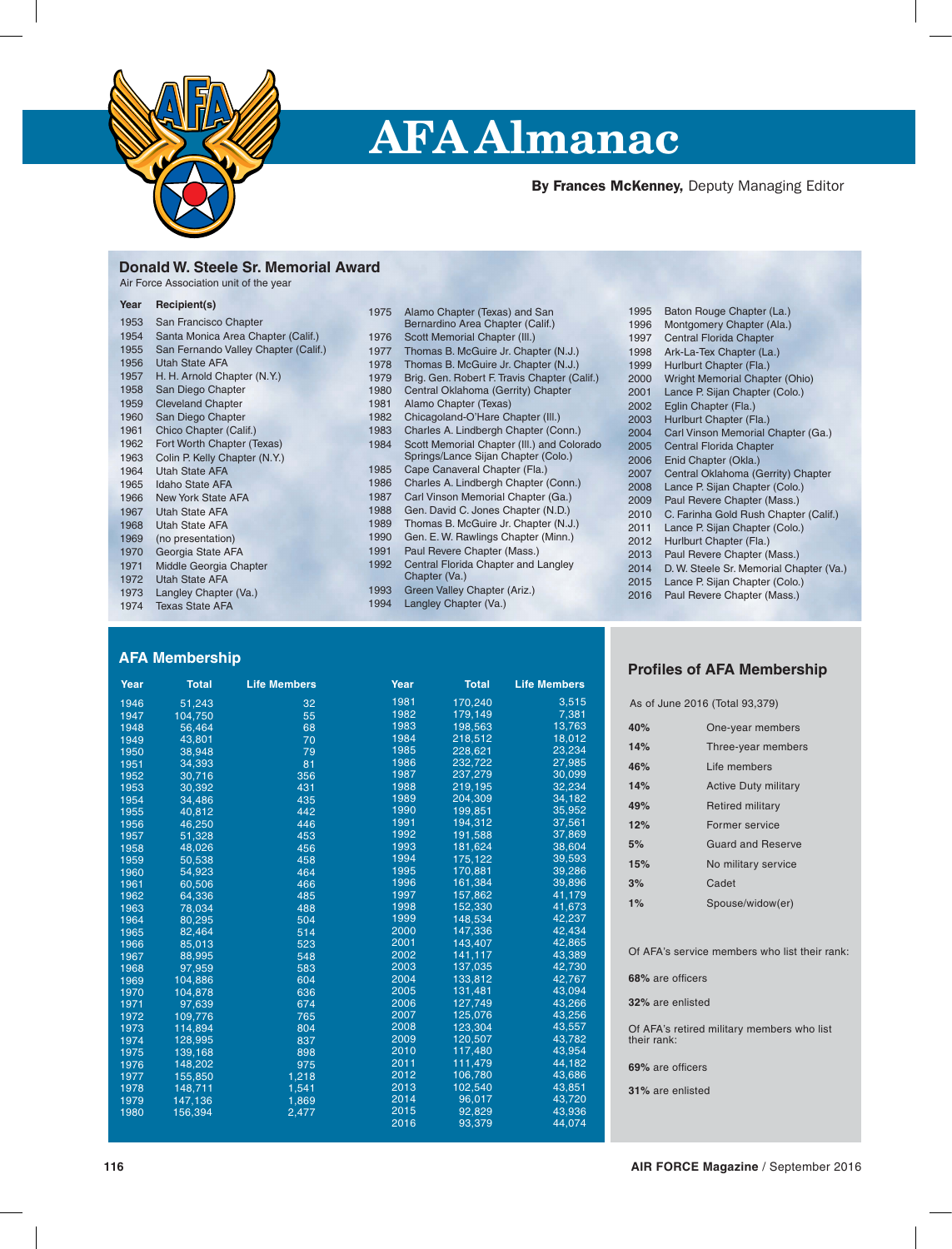

# **AFA Almanac**

By Frances McKenney, Deputy Managing Editor

# **Donald W. Steele Sr. Memorial Award**

| Air Force Association unit of the year |  |  |
|----------------------------------------|--|--|
|----------------------------------------|--|--|

| Year | Recipient(s)                         |      |                                              |
|------|--------------------------------------|------|----------------------------------------------|
|      |                                      | 1975 | Alamo Chapter (Texas) and San                |
| 1953 | San Francisco Chapter                |      | Bernardino Area Chapter (Calif.)             |
| 1954 | Santa Monica Area Chapter (Calif.)   | 1976 | Scott Memorial Chapter (III.)                |
| 1955 | San Fernando Valley Chapter (Calif.) | 1977 | Thomas B. McGuire Jr. Chapter (N.J.)         |
| 1956 | Utah State AFA                       | 1978 | Thomas B. McGuire Jr. Chapter (N.J.)         |
| 1957 | H. H. Arnold Chapter (N.Y.)          | 1979 | Brig. Gen. Robert F. Travis Chapter (Calif.) |
| 1958 | San Diego Chapter                    | 1980 | Central Oklahoma (Gerrity) Chapter           |
| 1959 | <b>Cleveland Chapter</b>             | 1981 | Alamo Chapter (Texas)                        |
| 1960 | San Diego Chapter                    | 1982 | Chicagoland-O'Hare Chapter (III.)            |
| 1961 | Chico Chapter (Calif.)               | 1983 | Charles A. Lindbergh Chapter (Conn.)         |
| 1962 | Fort Worth Chapter (Texas)           | 1984 | Scott Memorial Chapter (III.) and Colorado   |
| 1963 | Colin P. Kelly Chapter (N.Y.)        |      | Springs/Lance Sijan Chapter (Colo.)          |
| 1964 | <b>Utah State AFA</b>                | 1985 | Cape Canaveral Chapter (Fla.)                |
| 1965 | <b>Idaho State AFA</b>               | 1986 | Charles A. Lindbergh Chapter (Conn.)         |
| 1966 | <b>New York State AFA</b>            | 1987 | Carl Vinson Memorial Chapter (Ga.)           |
| 1967 | <b>Utah State AFA</b>                | 1988 | Gen. David C. Jones Chapter (N.D.)           |
| 1968 | <b>Utah State AFA</b>                | 1989 | Thomas B. McGuire Jr. Chapter (N.J.)         |
| 1969 | (no presentation)                    | 1990 | Gen. E. W. Rawlings Chapter (Minn.)          |
| 1970 | Georgia State AFA                    | 1991 | Paul Revere Chapter (Mass.)                  |
| 1971 | Middle Georgia Chapter               | 1992 | Central Florida Chapter and Langley          |
| 1972 | <b>Utah State AFA</b>                |      | Chapter (Va.)                                |
| 1973 | Langley Chapter (Va.)                | 1993 | Green Valley Chapter (Ariz.)                 |
| 1974 | <b>Texas State AFA</b>               | 1994 | Langley Chapter (Va.)                        |

# **AFA Membership**

| Year | <b>Total</b> | <b>Life Members</b> | Year | <b>Total</b> | <b>Life Members</b> |
|------|--------------|---------------------|------|--------------|---------------------|
| 1946 | 51.243       | 32                  | 1981 | 170,240      | 3,515               |
| 1947 | 104.750      | 55                  | 1982 | 179,149      | 7,381               |
| 1948 | 56,464       | 68                  | 1983 | 198,563      | 13,763              |
| 1949 | 43,801       | 70                  | 1984 | 218,512      | 18,012              |
| 1950 | 38,948       | 79                  | 1985 | 228,621      | 23,234              |
| 1951 | 34,393       | 81                  | 1986 | 232,722      | 27,985              |
| 1952 | 30,716       | 356                 | 1987 | 237,279      | 30,099              |
| 1953 | 30,392       | 431                 | 1988 | 219,195      | 32,234              |
| 1954 | 34,486       | 435                 | 1989 | 204,309      | 34,182              |
| 1955 | 40,812       | 442                 | 1990 | 199,851      | 35,952              |
| 1956 | 46,250       | 446                 | 1991 | 194,312      | 37,561              |
| 1957 | 51,328       | 453                 | 1992 | 191,588      | 37,869              |
| 1958 | 48,026       | 456                 | 1993 | 181,624      | 38,604              |
| 1959 | 50,538       | 458                 | 1994 | 175,122      | 39,593              |
| 1960 | 54,923       | 464                 | 1995 | 170,881      | 39,286              |
| 1961 | 60,506       | 466                 | 1996 | 161,384      | 39,896              |
| 1962 | 64,336       | 485                 | 1997 | 157,862      | 41,179              |
| 1963 | 78,034       | 488                 | 1998 | 152.330      | 41,673              |
| 1964 | 80,295       | 504                 | 1999 | 148,534      | 42,237              |
| 1965 | 82,464       | 514                 | 2000 | 147,336      | 42,434              |
| 1966 | 85,013       | 523                 | 2001 | 143,407      | 42,865              |
| 1967 | 88,995       | 548                 | 2002 | 141,117      | 43,389              |
| 1968 | 97,959       | 583                 | 2003 | 137,035      | 42,730              |
| 1969 | 104.886      | 604                 | 2004 | 133,812      | 42,767              |
| 1970 | 104,878      | 636                 | 2005 | 131,481      | 43,094              |
| 1971 | 97,639       | 674                 | 2006 | 127,749      | 43,266              |
| 1972 | 109,776      | 765                 | 2007 | 125,076      | 43,256              |
| 1973 | 114,894      | 804                 | 2008 | 123,304      | 43,557              |
| 1974 | 128,995      | 837                 | 2009 | 120,507      | 43,782              |
| 1975 | 139,168      | 898                 | 2010 | 117,480      | 43,954              |
| 1976 | 148,202      | 975                 | 2011 | 111,479      | 44,182              |
| 1977 | 155,850      | 1,218               | 2012 | 106,780      | 43,686              |
| 1978 | 148,711      | 1,541               | 2013 | 102,540      | 43,851              |
| 1979 | 147,136      | 1,869               | 2014 | 96,017       | 43,720              |
| 1980 | 156,394      | 2,477               | 2015 | 92,829       | 43.936              |
|      |              |                     | 2016 | 93,379       | 44,074              |

| 1995 | Baton Rouge Chapter (La.)               |
|------|-----------------------------------------|
| 1996 | Montgomery Chapter (Ala.)               |
| 1997 | <b>Central Florida Chapter</b>          |
| 1998 | Ark-La-Tex Chapter (La.)                |
| 1999 | Hurlburt Chapter (Fla.)                 |
| 2000 | Wright Memorial Chapter (Ohio)          |
| 2001 | Lance P. Sijan Chapter (Colo.)          |
| 2002 | Eglin Chapter (Fla.)                    |
| 2003 | Hurlburt Chapter (Fla.)                 |
| 2004 | Carl Vinson Memorial Chapter (Ga.)      |
| 2005 | <b>Central Florida Chapter</b>          |
| 2006 | Enid Chapter (Okla.)                    |
| 2007 | Central Oklahoma (Gerrity) Chapter      |
| 2008 | Lance P. Sijan Chapter (Colo.)          |
| 2009 | Paul Revere Chapter (Mass.)             |
| 2010 | C. Farinha Gold Rush Chapter (Calif.)   |
| 2011 | Lance P. Sijan Chapter (Colo.)          |
| 2012 | Hurlburt Chapter (Fla.)                 |
| 2013 | Paul Revere Chapter (Mass.)             |
| 2014 | D. W. Steele Sr. Memorial Chapter (Va.) |
| 2015 | Lance P. Sijan Chapter (Colo.)          |
| 2016 | Paul Revere Chapter (Mass.)             |

### **Profiles of AFA Membership**

| As of June 2016 (Total 93,379)                            |                             |  |  |  |  |
|-----------------------------------------------------------|-----------------------------|--|--|--|--|
| 40%                                                       | One-year members            |  |  |  |  |
| 14%                                                       | Three-year members          |  |  |  |  |
| 46%                                                       | Life members                |  |  |  |  |
| 14%                                                       | <b>Active Duty military</b> |  |  |  |  |
| 49%                                                       | <b>Retired military</b>     |  |  |  |  |
| 12%                                                       | Former service              |  |  |  |  |
| 5%                                                        | Guard and Reserve           |  |  |  |  |
| 15%                                                       | No military service         |  |  |  |  |
| 3%                                                        | Cadet                       |  |  |  |  |
| 1%                                                        | Spouse/widow(er)            |  |  |  |  |
|                                                           |                             |  |  |  |  |
| Of AFA's service members who list their rank:             |                             |  |  |  |  |
| 68% are officers                                          |                             |  |  |  |  |
| 32% are enlisted                                          |                             |  |  |  |  |
| Of AFA's retired military members who list<br>their rank: |                             |  |  |  |  |
| 69% are officers                                          |                             |  |  |  |  |

**31%** are enlisted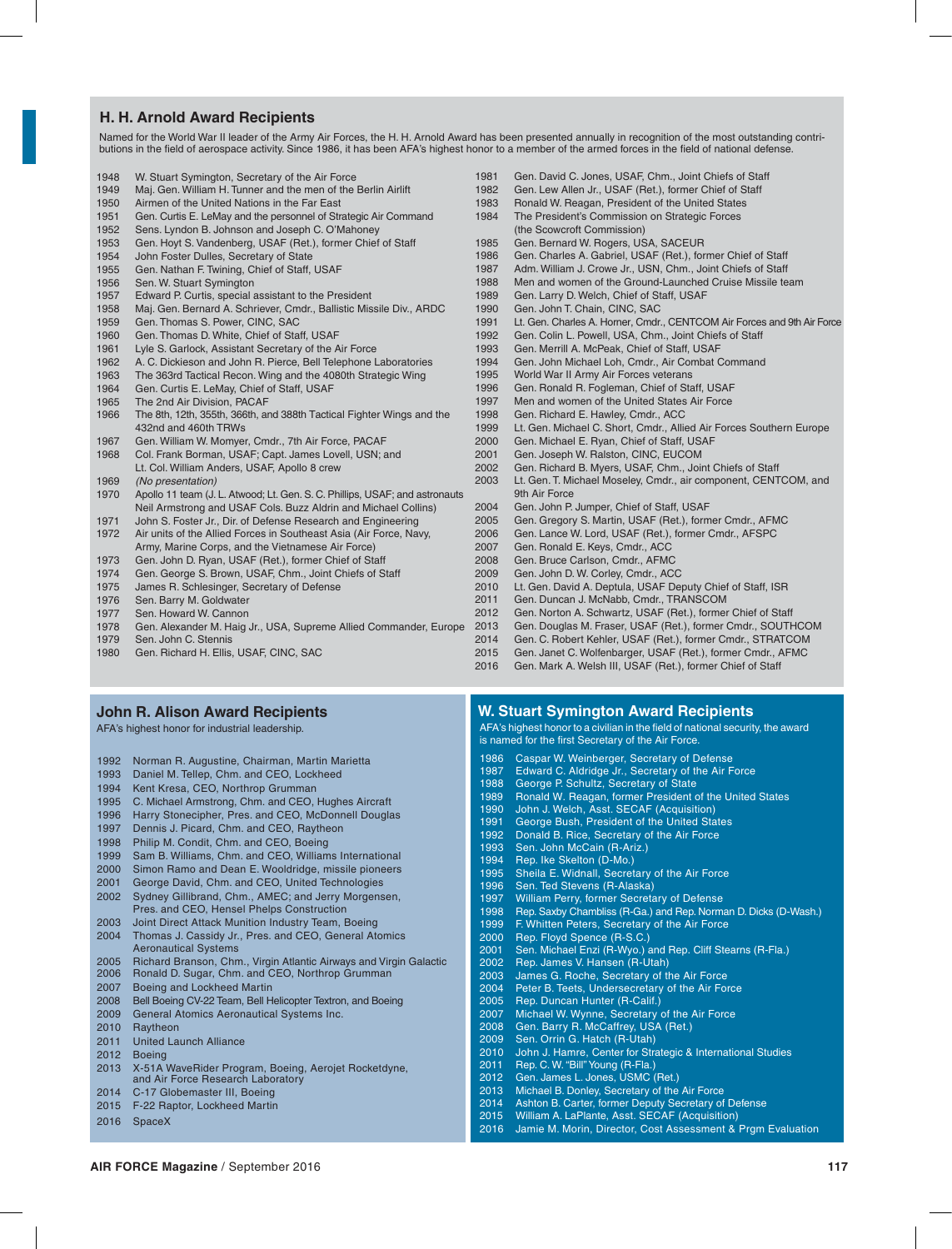# **H. H. Arnold Award Recipients**

Named for the World War II leader of the Army Air Forces, the H. H. Arnold Award has been presented annually in recognition of the most outstanding contributions in the field of aerospace activity. Since 1986, it has been AFA's highest honor to a member of the armed forces in the field of national defense.

**AIR FORCE Magazine** / September 2016 **117**

- W. Stuart Symington, Secretary of the Air Force
- Maj. Gen. William H. Tunner and the men of the Berlin Airlift
- 1950 Airmen of the United Nations in the Far East<br>1951 Gen. Curtis E. LeMay and the personnel of Str
- Gen. Curtis E. LeMay and the personnel of Strategic Air Command
- Sens. Lyndon B. Johnson and Joseph C. O'Mahoney
- Gen. Hoyt S. Vandenberg, USAF (Ret.), former Chief of Staff
- John Foster Dulles, Secretary of State
- Gen. Nathan F. Twining, Chief of Staff, USAF
- Sen. W. Stuart Symington
- Edward P. Curtis, special assistant to the President
- Maj. Gen. Bernard A. Schriever, Cmdr., Ballistic Missile Div., ARDC
- Gen. Thomas S. Power, CINC, SAC
- Gen. Thomas D. White, Chief of Staff, USAF
- Lyle S. Garlock, Assistant Secretary of the Air Force
- 1962 A. C. Dickieson and John R. Pierce, Bell Telephone Laboratories<br>1963 The 363rd Tactical Becon Wing and the 4080th Strategic Wing
- The 363rd Tactical Recon. Wing and the 4080th Strategic Wing
- Gen. Curtis E. LeMay, Chief of Staff, USAF
- The 2nd Air Division, PACAF
- The 8th, 12th, 355th, 366th, and 388th Tactical Fighter Wings and the 432nd and 460th TRWs
- Gen. William W. Momyer, Cmdr., 7th Air Force, PACAF
- Col. Frank Borman, USAF; Capt. James Lovell, USN; and Lt. Col. William Anders, USAF, Apollo 8 crew
- *(No presentation)*
- Apollo 11 team (J. L. Atwood; Lt. Gen. S. C. Phillips, USAF; and astronauts Neil Armstrong and USAF Cols. Buzz Aldrin and Michael Collins)
- John S. Foster Jr., Dir. of Defense Research and Engineering
- Air units of the Allied Forces in Southeast Asia (Air Force, Navy, Army, Marine Corps, and the Vietnamese Air Force)
- 
- 1973 Gen. John D. Ryan, USAF (Ret.), former Chief of Staff<br>1974 Gen. George S. Brown, USAF, Chm., Joint Chiefs of S Gen. George S. Brown, USAF, Chm., Joint Chiefs of Staff
- James R. Schlesinger, Secretary of Defense
- Sen. Barry M. Goldwater
- Sen. Howard W. Cannon
- Gen. Alexander M. Haig Jr., USA, Supreme Allied Commander, Europe
- Sen. John C. Stennis
- Gen. Richard H. Ellis, USAF, CINC, SAC

#### **John R. Alison Award Recipients**

AFA's highest honor for industrial leadership.

- Norman R. Augustine, Chairman, Martin Marietta
- Daniel M. Tellep, Chm. and CEO, Lockheed
- Kent Kresa, CEO, Northrop Grumman
- C. Michael Armstrong, Chm. and CEO, Hughes Aircraft
- Harry Stonecipher, Pres. and CEO, McDonnell Douglas
- Dennis J. Picard, Chm. and CEO, Raytheon
- Philip M. Condit, Chm. and CEO, Boeing
- Sam B. Williams, Chm. and CEO, Williams International
- Simon Ramo and Dean E. Wooldridge, missile pioneers
- George David, Chm. and CEO, United Technologies
- Sydney Gillibrand, Chm., AMEC; and Jerry Morgensen, Pres. and CEO, Hensel Phelps Construction
- Joint Direct Attack Munition Industry Team, Boeing
- Thomas J. Cassidy Jr., Pres. and CEO, General Atomics Aeronautical Systems
- 2005 Richard Branson, Chm., Virgin Atlantic Airways and Virgin Galactic<br>2006 Ronald D. Sugar, Chm. and CEO. Northrop Grumman
- Ronald D. Sugar, Chm. and CEO, Northrop Grumman
- Boeing and Lockheed Martin
- Bell Boeing CV-22 Team, Bell Helicopter Textron, and Boeing
- General Atomics Aeronautical Systems Inc.
- Raytheon
- United Launch Alliance
- Boeing
- X-51A WaveRider Program, Boeing, Aerojet Rocketdyne, and Air Force Research Laboratory
- 2014 C-17 Globemaster III, Boeing
- F-22 Raptor, Lockheed Martin
- 2016 SpaceX
- Gen. David C. Jones, USAF, Chm., Joint Chiefs of Staff
- Gen. Lew Allen Jr., USAF (Ret.), former Chief of Staff
- 1983 Ronald W. Reagan, President of the United States<br>1984 The President's Commission on Strategic Forces
- The President's Commission on Strategic Forces (the Scowcroft Commission)
- 1985 Gen. Bernard W. Rogers, USA, SACEUR<br>1986 Gen. Charles A. Gabriel USAE (Bet.) for
- Gen. Charles A. Gabriel, USAF (Ret.), former Chief of Staff
- Adm. William J. Crowe Jr., USN, Chm., Joint Chiefs of Staff
- Men and women of the Ground-Launched Cruise Missile team
- Gen. Larry D. Welch, Chief of Staff, USAF
- Gen. John T. Chain, CINC, SAC
- 1991 Lt. Gen. Charles A. Horner, Cmdr., CENTCOM Air Forces and 9th Air Force<br>1992 Gen. Colin J. Powell, USA, Chm., Joint Chiefs of Staff
- 1992 Gen. Colin L. Powell, USA, Chm., Joint Chiefs of Staff<br>1993 Gen. Merrill A. McPeak, Chief of Staff LISAE
- Gen. Merrill A. McPeak, Chief of Staff, USAF
- Gen. John Michael Loh, Cmdr., Air Combat Command
- World War II Army Air Forces veterans
- Gen. Ronald R. Fogleman, Chief of Staff, USAF
- Men and women of the United States Air Force
- Gen. Richard E. Hawley, Cmdr., ACC
- Lt. Gen. Michael C. Short, Cmdr., Allied Air Forces Southern Europe
- Gen. Michael E. Ryan, Chief of Staff, USAF
- Gen. Joseph W. Ralston, CINC, EUCOM
- Gen. Richard B. Myers, USAF, Chm., Joint Chiefs of Staff
- Lt. Gen. T. Michael Moseley, Cmdr., air component, CENTCOM, and 9th Air Force
- Gen. John P. Jumper, Chief of Staff, USAF
- Gen. Gregory S. Martin, USAF (Ret.), former Cmdr., AFMC
- Gen. Lance W. Lord, USAF (Ret.), former Cmdr., AFSPC
- Gen. Ronald E. Keys, Cmdr., ACC
- Gen. Bruce Carlson, Cmdr., AFMC
- Gen. John D. W. Corley, Cmdr., ACC
- Lt. Gen. David A. Deptula, USAF Deputy Chief of Staff, ISR
- Gen. Duncan J. McNabb, Cmdr., TRANSCOM
- Gen. Norton A. Schwartz, USAF (Ret.), former Chief of Staff
- Gen. Douglas M. Fraser, USAF (Ret.), former Cmdr., SOUTHCOM
- Gen. C. Robert Kehler, USAF (Ret.), former Cmdr., STRATCOM
- Gen. Janet C. Wolfenbarger, USAF (Ret.), former Cmdr., AFMC
- Gen. Mark A. Welsh III, USAF (Ret.), former Chief of Staff

### **W. Stuart Symington Award Recipients**

 Caspar W. Weinberger, Secretary of Defense Edward C. Aldridge Jr., Secretary of the Air Force

George P. Schultz, Secretary of State

 Sen. John McCain (R-Ariz.) Rep. Ike Skelton (D-Mo.)

Sen. Ted Stevens (R-Alaska)

Rep. Floyd Spence (R-S.C.)

Rep. James V. Hansen (R-Utah)

Rep. Duncan Hunter (R-Calif.)

 Rep. C. W. "Bill" Young (R-Fla.) Gen. James L. Jones, USMC (Ret.) Michael B. Donley, Secretary of the Air Force Ashton B. Carter, former Deputy Secretary of Defense William A. LaPlante, Asst. SECAF (Acquisition)

 John J. Welch, Asst. SECAF (Acquisition) George Bush, President of the United States Donald B. Rice, Secretary of the Air Force

Sheila E. Widnall, Secretary of the Air Force

William Perry, former Secretary of Defense

1999 F. Whitten Peters, Secretary of the Air Force

 James G. Roche, Secretary of the Air Force Peter B. Teets, Undersecretary of the Air Force

 Michael W. Wynne, Secretary of the Air Force Gen. Barry R. McCaffrey, USA (Ret.) Sen. Orrin G. Hatch (R-Utah)

AFA's highest honor to a civilian in the field of national security, the award is named for the first Secretary of the Air Force.

Ronald W. Reagan, former President of the United States

Rep. Saxby Chambliss (R-Ga.) and Rep. Norman D. Dicks (D-Wash.)

Sen. Michael Enzi (R-Wyo.) and Rep. Cliff Stearns (R-Fla.)

John J. Hamre, Center for Strategic & International Studies

Jamie M. Morin, Director, Cost Assessment & Prgm Evaluation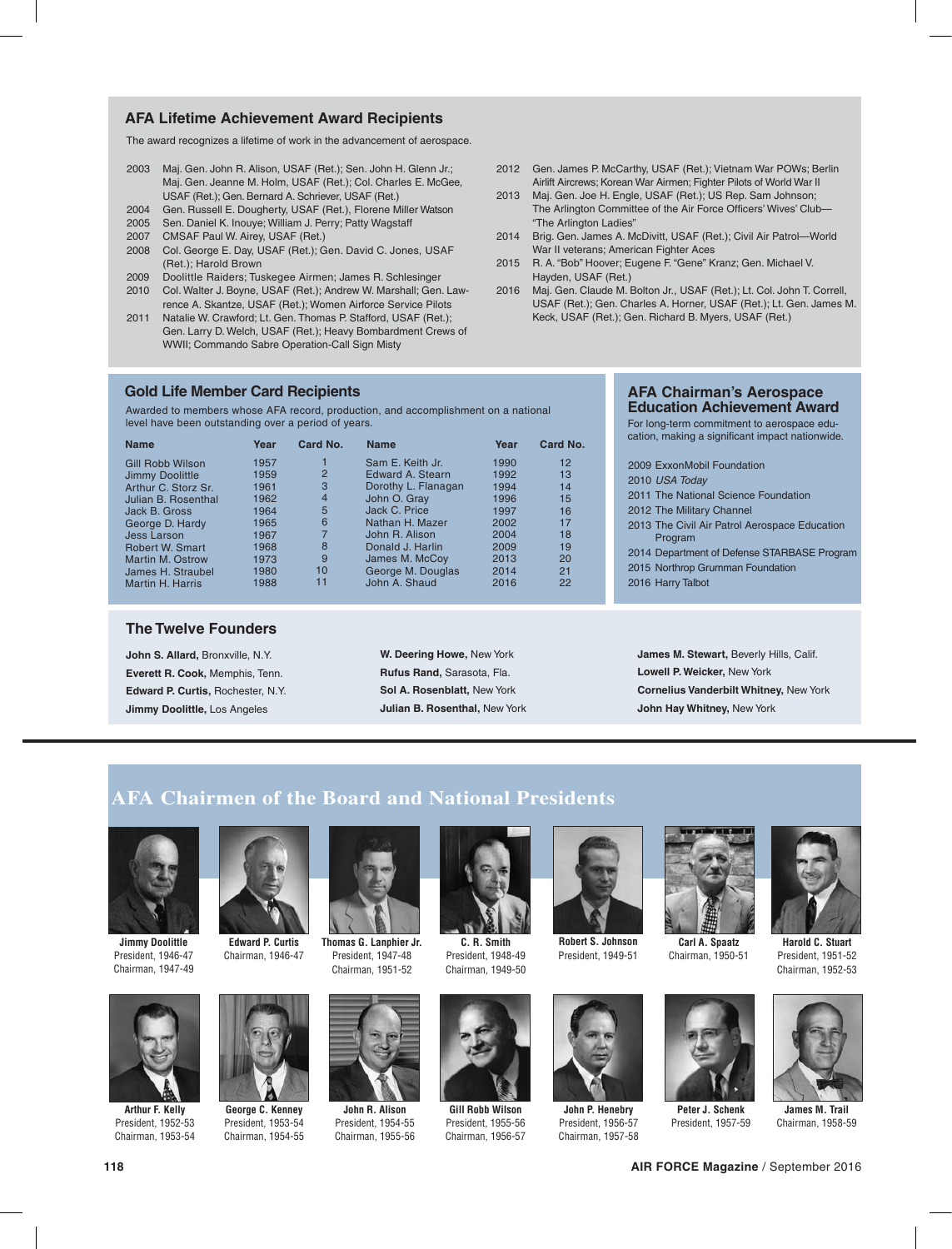# **AFA Lifetime Achievement Award Recipients**

The award recognizes a lifetime of work in the advancement of aerospace.

- 2003 Maj. Gen. John R. Alison, USAF (Ret.); Sen. John H. Glenn Jr.; Maj. Gen. Jeanne M. Holm, USAF (Ret.); Col. Charles E. McGee, USAF (Ret.); Gen. Bernard A. Schriever, USAF (Ret.)
- 2004 Gen. Russell E. Dougherty, USAF (Ret.), Florene Miller Watson
- 2005 Sen. Daniel K. Inouye; William J. Perry; Patty Wagstaff
- 2007 CMSAF Paul W. Airey, USAF (Ret.)
- 2008 Col. George E. Day, USAF (Ret.); Gen. David C. Jones, USAF (Ret.); Harold Brown
- 2009 Doolittle Raiders; Tuskegee Airmen; James R. Schlesinger
- 2010 Col. Walter J. Boyne, USAF (Ret.); Andrew W. Marshall; Gen. Lawrence A. Skantze, USAF (Ret.); Women Airforce Service Pilots
- 2011 Natalie W. Crawford; Lt. Gen. Thomas P. Stafford, USAF (Ret.); Gen. Larry D. Welch, USAF (Ret.); Heavy Bombardment Crews of WWII; Commando Sabre Operation-Call Sign Misty

### **Gold Life Member Card Recipients**

Awarded to members whose AFA record, production, and accomplishment on a national level have been outstanding over a period of years.

| <b>Name</b>            | Year | Card No.       | <b>Name</b>         | Year | Card No. |
|------------------------|------|----------------|---------------------|------|----------|
| Gill Robb Wilson       | 1957 |                | Sam E. Keith Jr.    | 1990 | 12       |
| Jimmy Doolittle        | 1959 | $\overline{2}$ | Edward A. Stearn    | 1992 | 13       |
| Arthur C. Storz Sr.    | 1961 | 3              | Dorothy L. Flanagan | 1994 | 14       |
| Julian B. Rosenthal    | 1962 | $\overline{4}$ | John O. Gray        | 1996 | 15       |
| Jack B. Gross          | 1964 | 5              | Jack C. Price       | 1997 | 16       |
| George D. Hardy        | 1965 | 6              | Nathan H. Mazer     | 2002 | 17       |
| Jess Larson            | 1967 |                | John R. Alison      | 2004 | 18       |
| <b>Robert W. Smart</b> | 1968 | 8              | Donald J. Harlin    | 2009 | 19       |
| Martin M. Ostrow       | 1973 | 9              | James M. McCoy      | 2013 | 20       |
| James H. Straubel      | 1980 | 10             | George M. Douglas   | 2014 | 21       |
| Martin H. Harris       | 1988 | 11             | John A. Shaud       | 2016 | 22       |

### **The Twelve Founders**

**John S. Allard,** Bronxville, N.Y. **Everett R. Cook,** Memphis, Tenn. **Edward P. Curtis,** Rochester, N.Y. **Jimmy Doolittle,** Los Angeles

| W. Deering Howe, New York          |  |  |  |
|------------------------------------|--|--|--|
| Rufus Rand, Sarasota, Fla.         |  |  |  |
| <b>Sol A. Rosenblatt. New York</b> |  |  |  |
| Julian B. Rosenthal, New York      |  |  |  |

- 2012 Gen. James P. McCarthy, USAF (Ret.); Vietnam War POWs; Berlin Airlift Aircrews; Korean War Airmen; Fighter Pilots of World War II
- 2013 Maj. Gen. Joe H. Engle, USAF (Ret.); US Rep. Sam Johnson; The Arlington Committee of the Air Force Officers' Wives' Club— "The Arlington Ladies"
- 2014 Brig. Gen. James A. McDivitt, USAF (Ret.); Civil Air Patrol—World War II veterans; American Fighter Aces
- 2015 R. A. "Bob" Hoover; Eugene F. "Gene" Kranz; Gen. Michael V. Hayden, USAF (Ret.)
- 2016 Maj. Gen. Claude M. Bolton Jr., USAF (Ret.); Lt. Col. John T. Correll, USAF (Ret.); Gen. Charles A. Horner, USAF (Ret.); Lt. Gen. James M. Keck, USAF (Ret.); Gen. Richard B. Myers, USAF (Ret.)

### **AFA Chairman's Aerospace Education Achievement Award**

For long-term commitment to aerospace education, making a significant impact nationwide.

|  | 2009 ExxonMobil Foundation                               |
|--|----------------------------------------------------------|
|  | 2010 USA Today                                           |
|  | 2011 The National Science Foundation                     |
|  | 2012 The Military Channel                                |
|  | 2013 The Civil Air Patrol Aerospace Education<br>Program |
|  | 2014 Department of Defense STARBASE Program              |
|  | 2015 Northrop Grumman Foundation                         |
|  | 2016 Harry Talbot                                        |
|  |                                                          |

**James M. Stewart,** Beverly Hills, Calif. **Lowell P. Weicker,** New York **Cornelius Vanderbilt Whitney,** New York **John Hay Whitney,** New York

# **AFA Chairmen of the Board and National Presidents**



**Jimmy Doolittle** President, 1946-47 Chairman, 1947-49



**Arthur F. Kelly** President, 1952-53 Chairman, 1953-54



Chairman, 1946-47

**George C. Kenney** President, 1953-54 Chairman, 1954-55



**John R. Alison** President, 1954-55 Chairman, 1955-56



**C. R. Smith** President, 1948-49 Chairman, 1949-50



**Gill Robb Wilson** President, 1955-56 Chairman, 1956-57



**Robert S. Johnson** President, 1949-51



Chairman, 1950-51



**Harold C. Stuart** President, 1951-52 Chairman, 1952-53



**John P. Henebry** President, 1956-57 Chairman, 1957-58



President, 1957-59



**James M. Trail** Chairman, 1958-59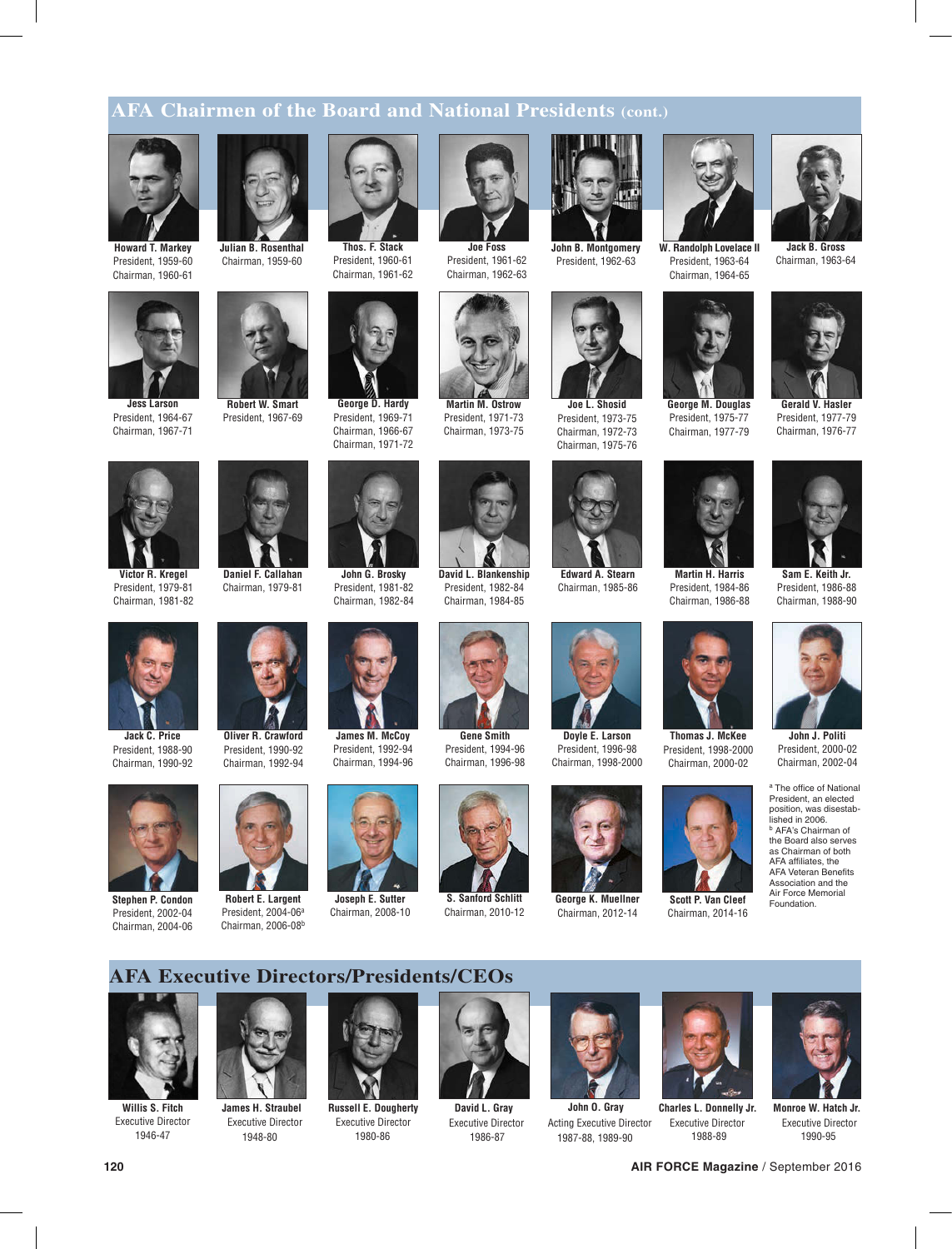# **AFA Chairmen of the Board and National Presidents (cont.)**



**Howard T. Markey** President, 1959-60 Chairman, 1960-61



**Jess Larson** President, 1964-67 Chairman, 1967-71





President, 1960-61 Chairman, 1961-62



President, 1969-71 Chairman, 1966-67 Chairman, 1971-72



**Joe Foss** President, 1961-62 Chairman, 1962-63

**Martin M. Ostrow** President, 1971-73 Chairman, 1973-75

**David L. Blankenship** President, 1982-84 Chairman, 1984-85



**John B. Montgomery** President, 1962-63



President, 1973-75 Chairman, 1972-73 Chairman, 1975-76



**Edward A. Stearn** Chairman, 1985-86



President, 1996-98



**George K. Muellner** Chairman, 2012-14



President, 1963-64 Chairman, 1964-65



Chairman, 1977-79

**Martin H. Harris** President, 1984-86 Chairman, 1986-88

**Thomas J. McKee**



**Jack B. Gross** Chairman, 1963-64



**Sam E. Keith Jr.** President, 1986-88 Chairman, 1988-90



President, 2000-02 Chairman, 2002-04

<sup>a</sup> The office of National President, an elected position, was disestablished in 2006. <sup>b</sup> AFA's Chairman of the Board also serves as Chairman of both AFA affiliates, the AFA Veteran Benefits Association and the Air Force Memorial Foundation.



**Victor R. Kregel** President, 1979-81 Chairman, 1981-82



President, 1988-90 Chairman, 1990-92



**Stephen P. Condon** President, 2002-04 Chairman, 2004-06



**Daniel F. Callahan** Chairman, 1979-81

**Robert W. Smart** President, 1967-69

**Robert E. Largent** President, 2004-06a Chairman, 2006-08<sup>b</sup>





Chairman, 2008-10

**Gene Smith** President, 1994-96 Chairman, 1996-98

**S. Sanford Schlitt** Chairman, 2010-12













**Willis S. Fitch** Executive Director 1946-47



**James H. Straubel** Executive Director 1948-80



**Russell E. Dougherty** Executive Director 1980-86



**David L. Gray** Executive Director 1986-87



**John O. Gray** Acting Executive Director 1987-88, 1989-90



1988-89

Executive Director



**Monroe W. Hatch Jr.** Executive Director 1990-95



**Oliver R. Crawford** President, 1990-92





**John G. Brosky** President, 1981-82 Chairman, 1982-84





**Joseph E. Sutter**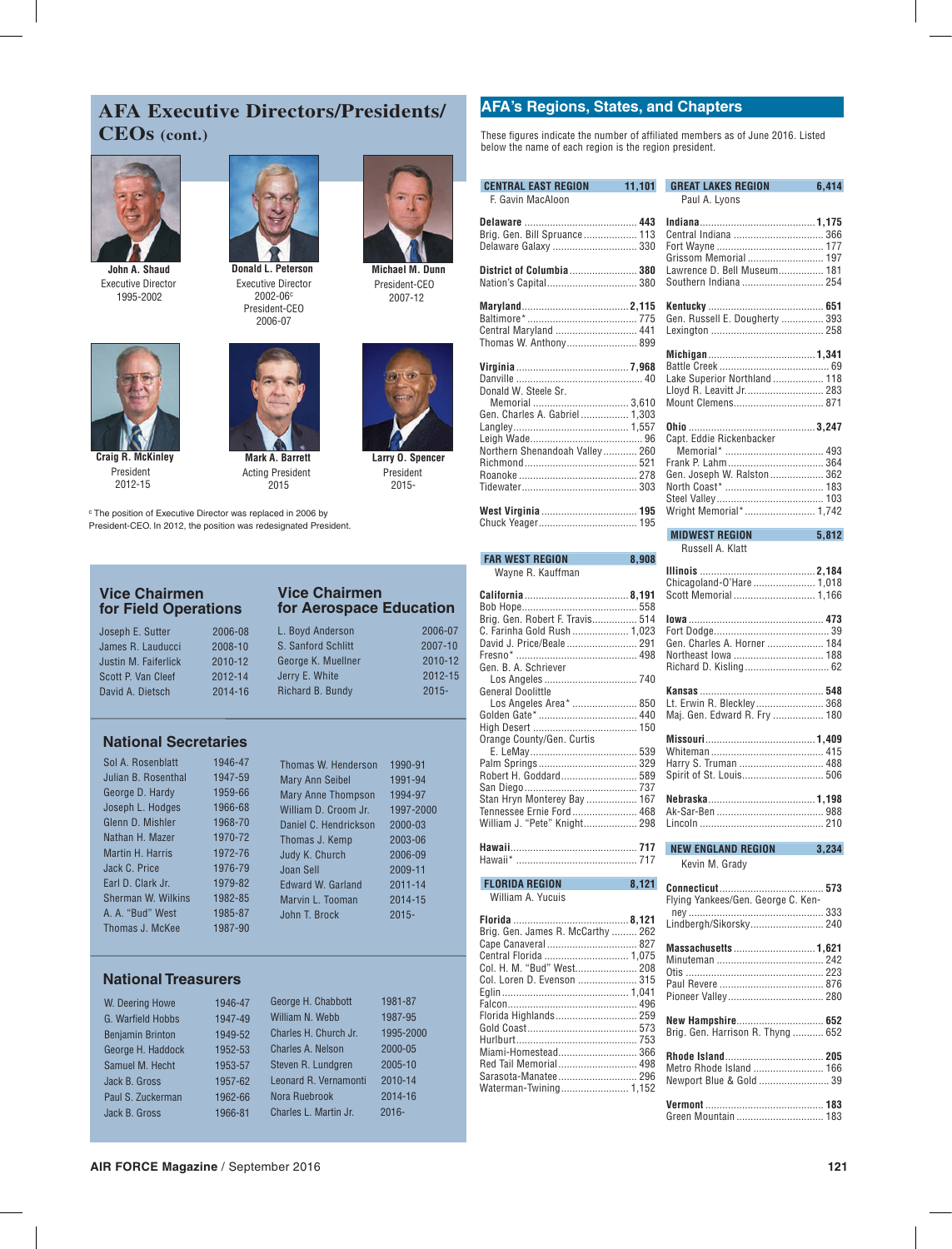# **AFA Executive Directors/Presidents/ CEOs (cont.)**



Executive Director 1995-2002



Executive Director President-CEO 2002-06c 2006-07



**Michael M. Dunn** 2007-12 President-CEO

**Larry O. Spencer** 2015- President



**Craig R. McKinley** 2012-15 President



**Mark A. Barrett** 2015 Acting President

<sup>c</sup> The position of Executive Director was replaced in 2006 by President-CEO. In 2012, the position was redesignated President.

### **Vice Chairmen for Field Operations**

| Joseph E. Sutter     | 2006-08 |
|----------------------|---------|
| James R. Lauducci    | 2008-10 |
| Justin M. Faiferlick | 2010-12 |
| Scott P. Van Cleef   | 2012-14 |
| David A. Dietsch     | 2014-16 |

### **Vice Chairmen for Aerospace Education** L. Boyd Anderson 2006-07

|     | ZUUD-UO | L. DUVU AIIUCISUII | ZUUU-UT     |
|-----|---------|--------------------|-------------|
| Σİ. | 2008-10 | S. Sanford Schlitt | $2007 - 10$ |
| k   | 2010-12 | George K. Muellner | 2010-12     |
|     | 2012-14 | Jerry E. White     | 2012-15     |
|     | 2014-16 | Richard B. Bundy   | $2015 -$    |
|     |         |                    |             |

# **National Secretaries**

| Sol A. Rosenblatt   | 1946-47 | Thomas W. Henderson       | 1990-91     |
|---------------------|---------|---------------------------|-------------|
| Julian B. Rosenthal | 1947-59 | Mary Ann Seibel           | 1991-94     |
| George D. Hardy     | 1959-66 | <b>Mary Anne Thompson</b> | 1994-97     |
| Joseph L. Hodges    | 1966-68 | William D. Croom Jr.      | 1997-2000   |
| Glenn D. Mishler    | 1968-70 | Daniel C. Hendrickson     | 2000-03     |
| Nathan H. Mazer     | 1970-72 | Thomas J. Kemp            | 2003-06     |
| Martin H. Harris    | 1972-76 | Judy K. Church            | 2006-09     |
| Jack C. Price       | 1976-79 | Joan Sell                 | 2009-11     |
| Earl D. Clark Jr.   | 1979-82 | Edward W. Garland         | $2011 - 14$ |
| Sherman W. Wilkins  | 1982-85 | Marvin L. Tooman          | 2014-15     |
| A. A. "Bud" West    | 1985-87 | John T. Brock             | $2015 -$    |
| Thomas J. McKee     | 1987-90 |                           |             |

# **National Treasurers**

| W. Deering Howe         | 1946-47 | George H. Chabbott    | 1981-87   |
|-------------------------|---------|-----------------------|-----------|
| G. Warfield Hobbs       | 1947-49 | William N. Webb       | 1987-95   |
| <b>Benjamin Brinton</b> | 1949-52 | Charles H. Church Jr. | 1995-2000 |
| George H. Haddock       | 1952-53 | Charles A. Nelson     | 2000-05   |
| Samuel M. Hecht         | 1953-57 | Steven R. Lundgren    | 2005-10   |
| Jack B. Gross           | 1957-62 | Leonard R. Vernamonti | 2010-14   |
| Paul S. Zuckerman       | 1962-66 | Nora Ruebrook         | 2014-16   |
| Jack B. Gross           | 1966-81 | Charles L. Martin Jr. | $2016 -$  |

# **AFA's Regions, States, and Chapters**

These figures indicate the number of affiliated members as of June 2016. Listed below the name of each region is the region president.

| <b>CENTRAL EAST REGION</b><br>11,101                                                                                                             | <b>GREAT LAKES REGION</b><br>6,414                 |
|--------------------------------------------------------------------------------------------------------------------------------------------------|----------------------------------------------------|
| F. Gavin MacAloon                                                                                                                                | Paul A. Lyons                                      |
|                                                                                                                                                  |                                                    |
|                                                                                                                                                  |                                                    |
| Brig. Gen. Bill Spruance 113                                                                                                                     |                                                    |
| Delaware Galaxy  330                                                                                                                             | Grissom Memorial  197                              |
| District of Columbia 380                                                                                                                         | Lawrence D. Bell Museum 181                        |
|                                                                                                                                                  | Southern Indiana  254                              |
|                                                                                                                                                  |                                                    |
|                                                                                                                                                  |                                                    |
|                                                                                                                                                  | Gen. Russell E. Dougherty  393                     |
| Central Maryland  441                                                                                                                            |                                                    |
| Thomas W. Anthony 899                                                                                                                            |                                                    |
|                                                                                                                                                  |                                                    |
|                                                                                                                                                  | Lake Superior Northland  118                       |
| Donald W. Steele Sr.                                                                                                                             | Lloyd R. Leavitt Jr 283                            |
| Memorial  3,610                                                                                                                                  | Mount Clemens 871                                  |
| Gen. Charles A. Gabriel 1,303                                                                                                                    |                                                    |
|                                                                                                                                                  |                                                    |
|                                                                                                                                                  | Capt. Eddie Rickenbacker                           |
| Northern Shenandoah Valley 260                                                                                                                   |                                                    |
|                                                                                                                                                  |                                                    |
|                                                                                                                                                  | Gen. Joseph W. Ralston  362                        |
|                                                                                                                                                  |                                                    |
|                                                                                                                                                  |                                                    |
|                                                                                                                                                  | Wright Memorial* 1,742                             |
|                                                                                                                                                  | <b>MIDWEST REGION</b><br>5,812                     |
|                                                                                                                                                  | Russell A. Klatt                                   |
| 8.908<br><b>FAR WEST REGION</b>                                                                                                                  |                                                    |
| Wayne R. Kauffman                                                                                                                                |                                                    |
|                                                                                                                                                  | Chicagoland-O'Hare  1,018                          |
|                                                                                                                                                  | Scott Memorial  1,166                              |
|                                                                                                                                                  |                                                    |
| Brig. Gen. Robert F. Travis 514                                                                                                                  |                                                    |
| C. Farinha Gold Rush  1,023                                                                                                                      |                                                    |
|                                                                                                                                                  | Gen. Charles A. Horner  184<br>Northeast Iowa  188 |
| Gen. B. A. Schriever                                                                                                                             |                                                    |
|                                                                                                                                                  |                                                    |
| General Doolittle                                                                                                                                |                                                    |
| Los Angeles Area*  850                                                                                                                           | Lt. Erwin R. Bleckley 368                          |
|                                                                                                                                                  | Maj. Gen. Edward R. Fry  180                       |
|                                                                                                                                                  |                                                    |
| Orange County/Gen. Curtis                                                                                                                        |                                                    |
|                                                                                                                                                  |                                                    |
|                                                                                                                                                  | Harry S. Truman  488                               |
| Robert H. Goddard 589                                                                                                                            | Spirit of St. Louis 506                            |
| Stan Hryn Monterey Bay  167                                                                                                                      |                                                    |
| Tennessee Ernie Ford 468                                                                                                                         |                                                    |
| William J. "Pete" Knight 298                                                                                                                     |                                                    |
|                                                                                                                                                  |                                                    |
| Hawaii.                                                                                                                                          | 3.234<br>NEW ENGLAND REGION                        |
|                                                                                                                                                  | Kevin M. Grady                                     |
|                                                                                                                                                  |                                                    |
| and the state of the state of the state of the state of the state of the state of the state of the state of th<br><b>FLORIDA REGION</b><br>8,121 |                                                    |
| William A. Yucuis                                                                                                                                | Flying Yankees/Gen, George C. Ken-                 |
|                                                                                                                                                  |                                                    |
| Brig. Gen. James R. McCarthy  262                                                                                                                | Lindbergh/Sikorsky 240                             |
|                                                                                                                                                  |                                                    |
| Central Florida  1,075                                                                                                                           | Massachusetts  1,621                               |
| Col. H. M. "Bud" West 208                                                                                                                        |                                                    |
| Col. Loren D. Evenson  315                                                                                                                       |                                                    |
|                                                                                                                                                  |                                                    |
|                                                                                                                                                  |                                                    |
| Florida Highlands 259                                                                                                                            |                                                    |
| Hurlburt 753                                                                                                                                     | Brig. Gen. Harrison R. Thyng  652                  |
| Miami-Homestead 366                                                                                                                              |                                                    |
| Red Tail Memorial 498                                                                                                                            |                                                    |
| Sarasota-Manatee 296                                                                                                                             | Metro Rhode Island  166                            |
| Waterman-Twining 1,152                                                                                                                           | Newport Blue & Gold  39                            |
|                                                                                                                                                  |                                                    |
|                                                                                                                                                  |                                                    |
|                                                                                                                                                  |                                                    |